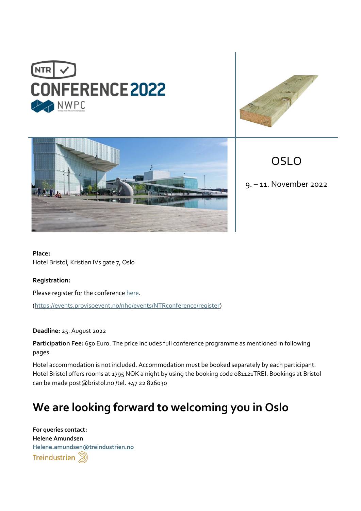





OSLO

9. – 11. November 2022

**Place:** Hotel Bristol, Kristian IVs gate 7, Oslo

**Registration:** 

Please register for the conferenc[e here.](https://events.provisoevent.no/nho/events/NTRconference/register)

[\(https://events.provisoevent.no/nho/events/NTRconference/register\)](https://events.provisoevent.no/nho/events/NTRconference/register)

**Deadline:** 25. August 2022

**Participation Fee:** 650 Euro. The price includes full conference programme as mentioned in following pages.

Hotel accommodation is not included. Accommodation must be booked separately by each participant. Hotel Bristol offers rooms at 1795 NOK a night by using the booking code 081121TREI. Bookings at Bristol can be made post@bristol.no /tel. +47 22 826030

# **We are looking forward to welcoming you in Oslo**

**For queries contact: Helene Amundsen [Helene.amundsen@treindustrien.no](mailto:Helene.amundsen@treindustrien.no)**Treindustrien (3)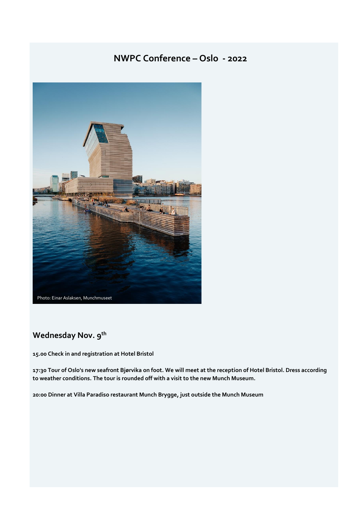### **NWPC Conference – Oslo - 2022**



### **Wednesday Nov. 9th**

**15.00 Check in and registration at Hotel Bristol**

**17:30 Tour of Oslo's new seafront Bjørvika on foot. We will meet at the reception of Hotel Bristol. Dress according to weather conditions. The tour is rounded off with a visit to the new Munch Museum.**

**20:00 Dinner at Villa Paradiso restaurant Munch Brygge, just outside the Munch Museum**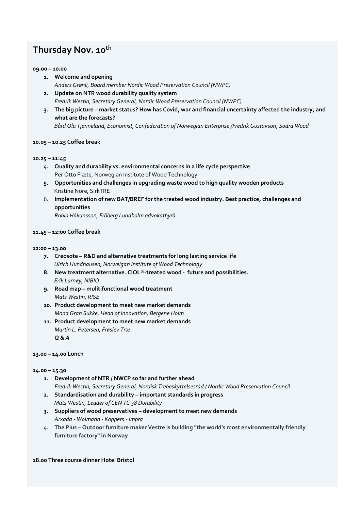### **Thursday Nov. 10th**

#### **09.00 – 10.00**

- **1. Welcome and opening**  *Anders Grønli, Board member Nordic Wood Preservation Council (NWPC)*
- **2. Update on NTR wood durability quality system**  *Fredrik Westin, Secretary General, Nordic Wood Preservation Council (NWPC)*
- **3. The big picture – market status? How has Covid, war and financial uncertainty affected the industry, and what are the forecasts?**  *Bård Ola Tjønneland, Economist, Confederation of Norwegian Enterprise /Fredrik Gustavson, Södra Wood*

### **10.05 – 10.25 Coffee break**

#### **10.25 – 11:45**

- **4. Quality and durability vs. environmental concerns in a life cycle perspective** Per Otto Flæte, Norwegian Institute of Wood Technology
- **5. Opportunities and challenges in upgrading waste wood to high quality wooden products** Kristine Nore, SirkTRE
- 6. **Implementation of new BAT/BREF for the treated wood industry. Best practice, challenges and opportunities**

*Robin Håkansson, Fröberg Lundholm advokatbyrå*

#### **11.45 – 12:00 Coffee break**

#### **12:00 – 13.00**

- **7. Creosote – R&D and alternative treatments for long lasting service life**  *Ulrich Hundhausen, Norweigan Institute of Wood Technology*
- **8. New treatment alternative. CIOL**®**-treated wood future and possibilities.**  *Erik Larnøy, NIBIO*
- **9. Road map – mulitifunctional wood treatment** *Mats Westin, RISE*
- **10. Product development to meet new market demands** *Mona Gran Sukke, Head of Innovation, Bergene Holm*
- **11. Product development to meet new market demands**  *Martin L. Petersen, Frøslev Træ Q & A*

#### **13.00 – 14.00 Lunch**

#### **14.00 – 15.30**

- **1. Development of NTR / NWCP so far and further ahead**  *Fredrik Westin, Secretary General, Nordisk Trebeskyttelsesråd / Nordic Wood Preservation Council*
- **2. Standardisation and durability – important standards in progress** *Mats Westin, Leader of CEN TC 38 Durability*
- **3. Suppliers of wood preservatives – development to meet new demands** *Arxada - Wolmann - Koppers - Impra*
- **4. The Plus – Outdoor furniture maker Vestre is building "the world's most environmentally friendly furniture factory" in Norway**

**18.00 Three course dinner Hotel Bristol**